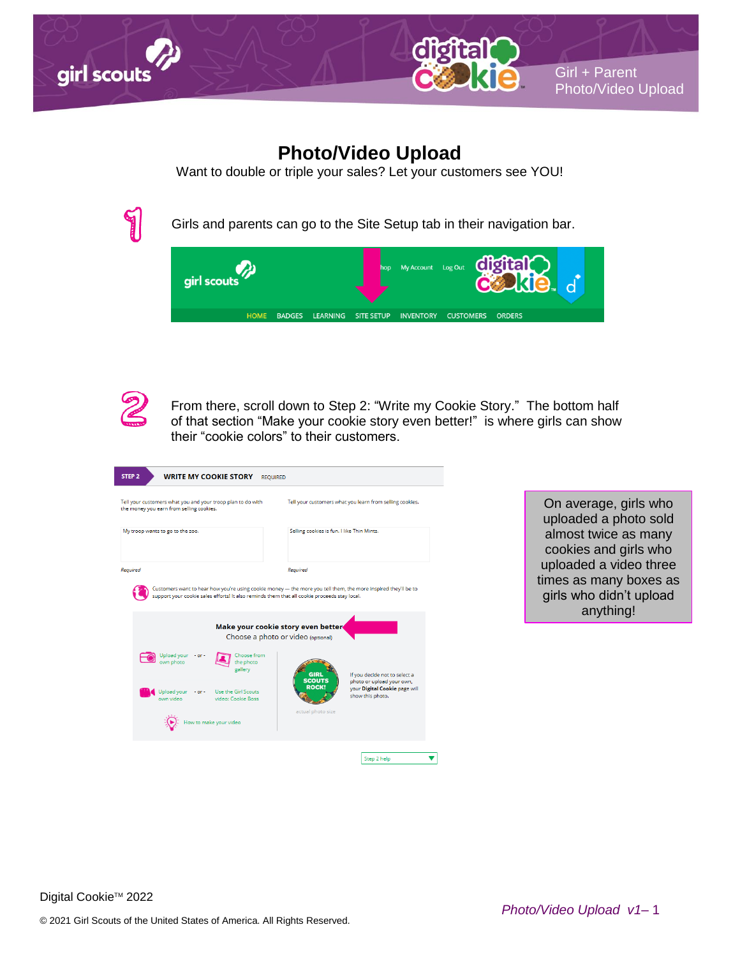



## **Photo/Video Upload**

Want to double or triple your sales? Let your customers see YOU!



Girls and parents can go to the Site Setup tab in their navigation bar.





From there, scroll down to Step 2: "Write my Cookie Story." The bottom half of that section "Make your cookie story even better!" is where girls can show their "cookie colors" to their customers.

| STEP <sub>2</sub><br><b>WRITE MY COOKIE STORY</b><br><b>REQUIRED</b>                                                                                          |                                                                                                                                                  |
|---------------------------------------------------------------------------------------------------------------------------------------------------------------|--------------------------------------------------------------------------------------------------------------------------------------------------|
| Tell your customers what you and your troop plan to do with<br>the money you earn from selling cookies.                                                       | Tell your customers what you learn from selling cookies.                                                                                         |
| My troop wants to go to the zoo.                                                                                                                              | Selling cookies is fun. I like Thin Mints.                                                                                                       |
| Required                                                                                                                                                      | Required                                                                                                                                         |
| support your cookie sales efforts! It also reminds them that all cookie proceeds stay local.                                                                  | Customers want to hear how you're using cookie money - the more you tell them, the more inspired they'll be to                                   |
| Make your cookie story even better<br>Choose a photo or video (optional)                                                                                      |                                                                                                                                                  |
| Upload your - or -<br>Choose from<br>own photo<br>the photo<br>gallery<br>Upload your<br>Use the Girl Scouts<br>$-$ or $-$<br>own video<br>video: Cookie Boss | If you decide not to select a<br>GIRI<br><b>SCOUTS</b><br>photo or upload your own,<br>ROCK<br>your Digital Cookie page will<br>show this photo. |
| ow to make your video                                                                                                                                         | actual photo size                                                                                                                                |
|                                                                                                                                                               | Step 2 help                                                                                                                                      |

On average, girls who uploaded a photo sold almost twice as many cookies and girls who uploaded a video three times as many boxes as girls who didn't upload anything!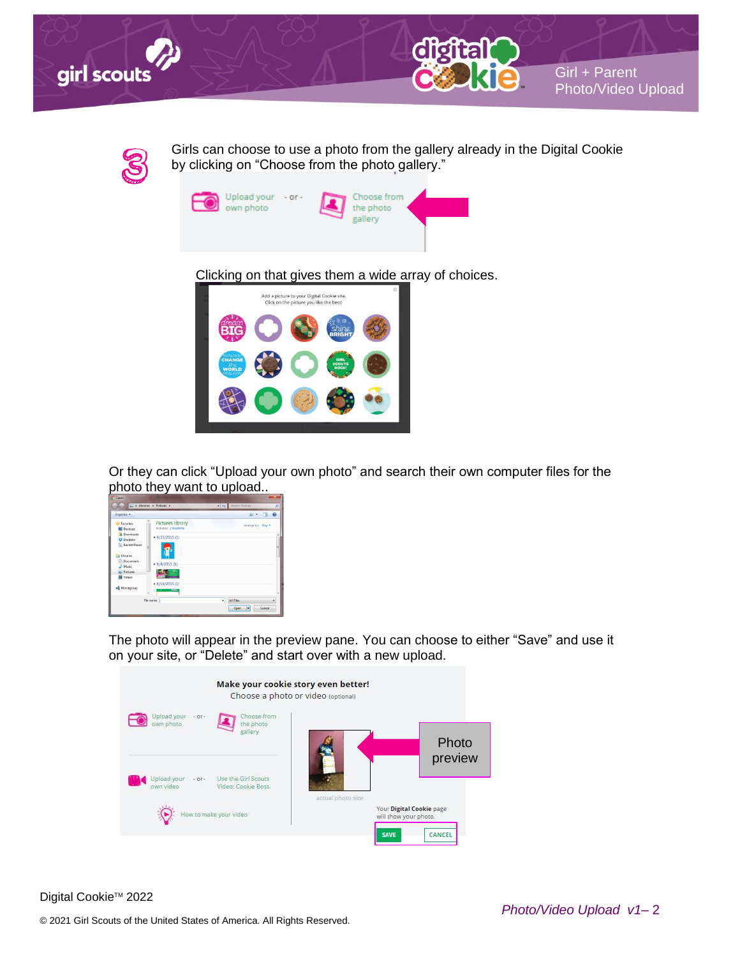



Girls can choose to use a photo from the gallery already in the Digital Cookie by clicking on "Choose from the photo gallery."



Clicking on that gives them a wide array of choices.



Or they can click "Upload your own photo" and search their own computer files for the photo they want to upload..

| Open                                                                 |                                                  |                              | 25           |
|----------------------------------------------------------------------|--------------------------------------------------|------------------------------|--------------|
|                                                                      | D B Libraries > Pictures >                       | - 4 Search Pictures          | R            |
| Organize w                                                           |                                                  | $\Box$<br>E v                | $\mathbf{a}$ |
| <b>Sir</b> Favorites<br>Desktop                                      | <b>Pictures library</b><br>Includes: 2 locations | Arrange by: Day              |              |
| <b>Downloads</b><br><b>U</b> Dropbox                                 | $-9/23/2015(1)$                                  |                              |              |
| <b>M. Recent Places</b><br><b>Juli</b> Libraries<br><b>Documents</b> | $-9/8/2015(1)$                                   |                              |              |
| Music<br>Pictures<br><b>H</b> Videos                                 |                                                  |                              |              |
| 8 Homegroup                                                          | $-8/14/2015(1)$<br><b>Allen</b>                  |                              |              |
|                                                                      | File name:                                       | All Files<br>٠<br>Open<br>١v | Cancel       |

The photo will appear in the preview pane. You can choose to either "Save" and use it on your site, or "Delete" and start over with a new upload.



Digital Cookie<sup>™</sup> 2022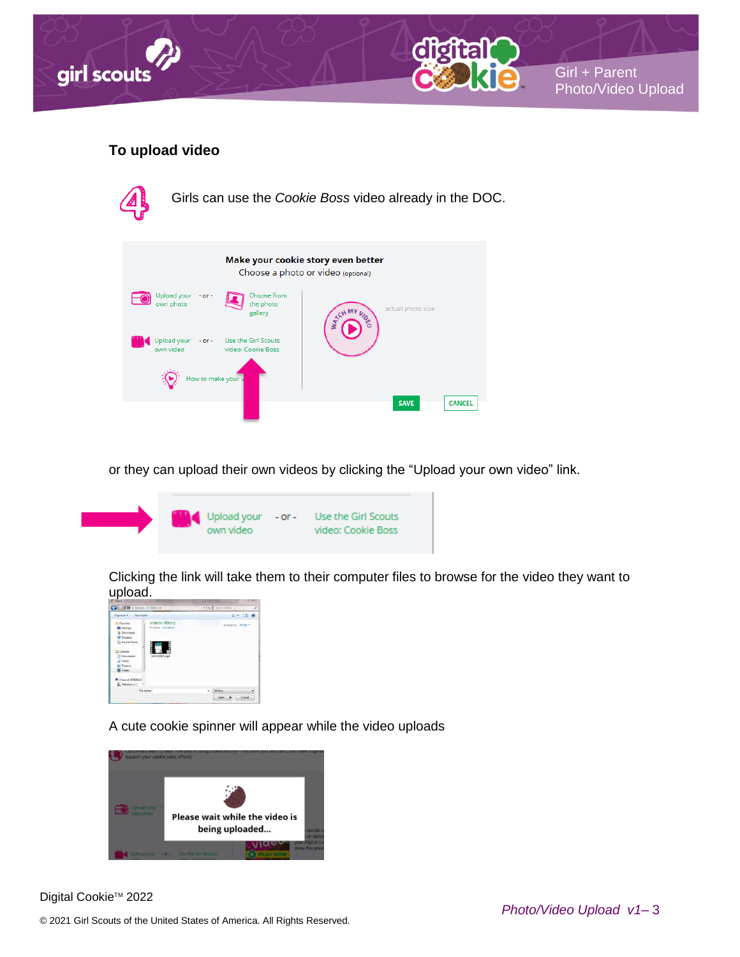



## **To upload video**



or they can upload their own videos by clicking the "Upload your own video" link.



Clicking the link will take them to their computer files to browse for the video they want to upload.



A cute cookie spinner will appear while the video uploads



Digital Cookie<sup>™</sup> 2022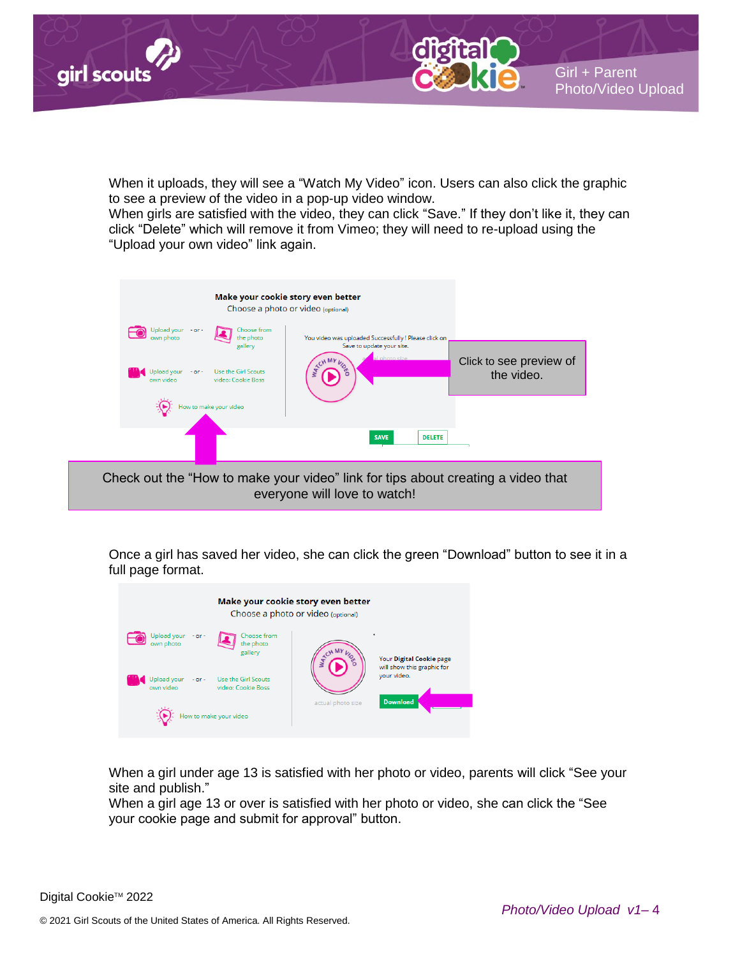

When it uploads, they will see a "Watch My Video" icon. Users can also click the graphic to see a preview of the video in a pop-up video window.

When girls are satisfied with the video, they can click "Save." If they don't like it, they can click "Delete" which will remove it from Vimeo; they will need to re-upload using the "Upload your own video" link again.



Once a girl has saved her video, she can click the green "Download" button to see it in a full page format.



When a girl under age 13 is satisfied with her photo or video, parents will click "See your site and publish."

When a girl age 13 or over is satisfied with her photo or video, she can click the "See your cookie page and submit for approval" button.

Girl + Parent Girl + Parent

Photo/Video Upload Photo/Video Upload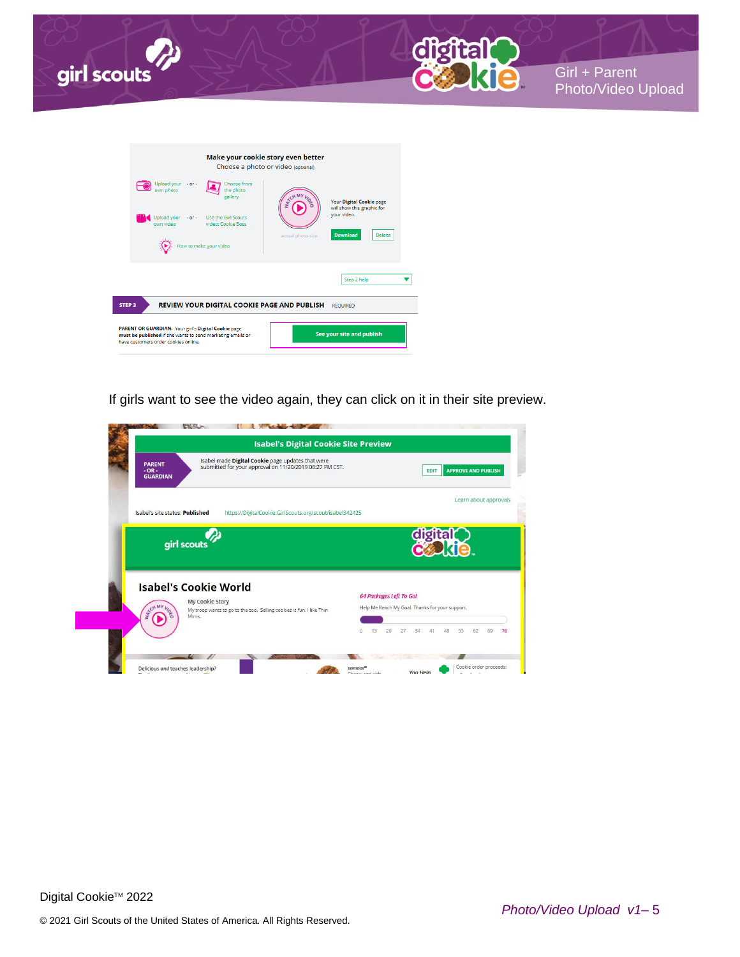



|                                                                                                                                                           | Make your cookie story even better<br>Choose a photo or video (optional)                           |
|-----------------------------------------------------------------------------------------------------------------------------------------------------------|----------------------------------------------------------------------------------------------------|
| Upload your - or -<br>Choose from<br>own photo<br>the photo<br>gallery                                                                                    | Your Digital Cookie page                                                                           |
| <b>Use the Girl Scouts</b><br>Upload your<br>$-$ or $-$<br>own video<br>video: Cookie Boss                                                                | will show this graphic for<br>your video.<br><b>Download</b><br><b>Delete</b><br>actual photo size |
| How to make your video                                                                                                                                    |                                                                                                    |
|                                                                                                                                                           | Step 2 help                                                                                        |
| <b>REVIEW YOUR DIGITAL COOKIE PAGE AND PUBLISH</b><br>STEP <sub>3</sub>                                                                                   | <b>REQUIRED</b>                                                                                    |
| PARENT OR GUARDIAN: Your girl's Digital Cookie page<br>must be published if she wants to send marketing emails or<br>have customers order cookies online. | See your site and publish                                                                          |

If girls want to see the video again, they can click on it in their site preview.

| <b>PARENT</b><br>$-OR -$<br><b>GUARDIAN</b> | Isabel made Digital Cookie page updates that were<br>submitted for your approval on 11/20/2019 08:27 PM CST. |                                                 |          | <b>EDIT</b> |          | <b>APPROVE AND PUBLISH</b> |    |
|---------------------------------------------|--------------------------------------------------------------------------------------------------------------|-------------------------------------------------|----------|-------------|----------|----------------------------|----|
| Isabel's site status: Published             | https://DigitalCookie.GirlScouts.org/scout/isabel342425                                                      |                                                 |          |             |          | Learn about approvals      |    |
|                                             | girl scouts                                                                                                  |                                                 |          | digital     |          |                            |    |
|                                             | <b>Isabel's Cookie World</b>                                                                                 | <b>64 Packages Left To Go!</b>                  |          |             |          |                            |    |
| WATCH                                       | My Cookie Story<br>My troop wants to go to the zoo. Selling cookies is fun. I like Thin<br>Mints.            | Help Me Reach My Goal. Thanks for your support. |          |             |          |                            |    |
|                                             |                                                                                                              | 13<br>20<br>$\Omega$                            | 34<br>27 | 48<br>41    | 55<br>62 | 69                         | 76 |